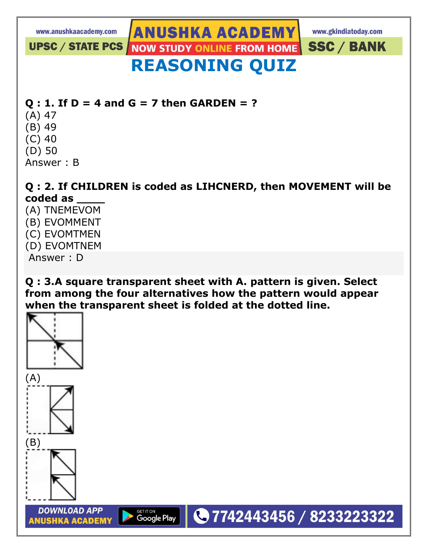**UPSC / STATE PCS /** 

# **ANUSHKA ACADEMY NOW STUDY ONLINE FROM HOME**

www.gkindiatoday.com



# **REASONING QUIZ**

### **Q : 1. If D = 4 and G = 7 then GARDEN = ?**

(A) 47

(B) 49

(C) 40

(D) 50

Answer : B

# **Q : 2. If CHILDREN is coded as LIHCNERD, then MOVEMENT will be coded as \_\_\_\_**

- (A) TNEMEVOM
- (B) EVOMMENT
- (C) EVOMTMEN
- (D) EVOMTNEM

Answer : D

**Q : 3.A square transparent sheet with A. pattern is given. Select from among the four alternatives how the pattern would appear when the transparent sheet is folded at the dotted line.**

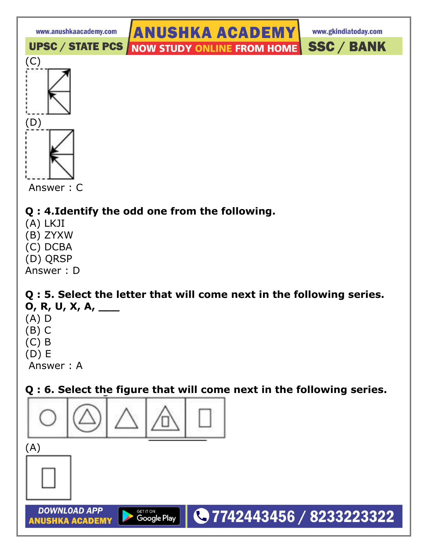

# **Q : 4.Identify the odd one from the following.**

- (A) LKJI
- (B) ZYXW
- (C) DCBA
- (D) QRSP
- Answer : D

# **Q : 5. Select the letter that will come next in the following series. O, R, U, X, A, \_\_\_**

(A) D (B) C (C) B (D) E Answer : A

**Q : 6. Select the figure that will come next in the following series.**

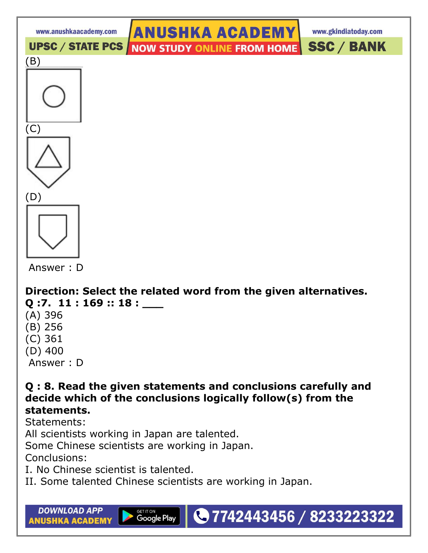

**Q :7. 11 : 169 :: 18 : \_\_\_**

- (A) 396
- (B) 256
- (C) 361
- (D) 400
- Answer : D

# **Q : 8. Read the given statements and conclusions carefully and decide which of the conclusions logically follow(s) from the statements.**

●7742443456 / 8233223322

Statements:

All scientists working in Japan are talented.

Some Chinese scientists are working in Japan.

Conclusions:

I. No Chinese scientist is talented.

II. Some talented Chinese scientists are working in Japan.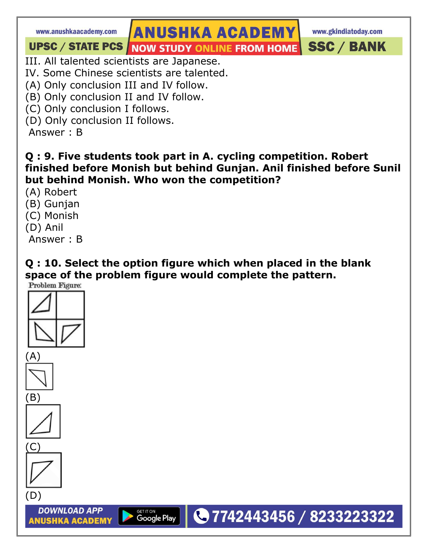**UPSC / STATE PCS /** 

**ANUSHKA ACADEMY** www.gkindiatoday.com

**NOW STUDY ONLINE FROM HOME** 



- III. All talented scientists are Japanese.
- IV. Some Chinese scientists are talented.
- (A) Only conclusion III and IV follow.
- (B) Only conclusion II and IV follow.
- (C) Only conclusion I follows.
- (D) Only conclusion II follows.

Answer : B

# **Q : 9. Five students took part in A. cycling competition. Robert finished before Monish but behind Gunjan. Anil finished before Sunil but behind Monish. Who won the competition?**

- (A) Robert
- (B) Gunjan
- (C) Monish
- (D) Anil
- Answer : B

# **Q : 10. Select the option figure which when placed in the blank space of the problem figure would complete the pattern.**



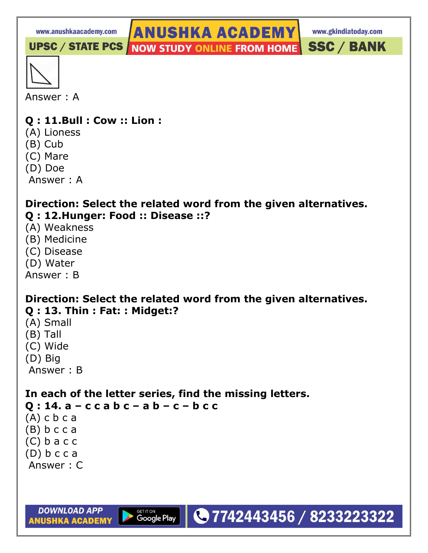**NOW STUDY ONLINE FROM HOME SSC / BANK** 

●7742443456 / 8233223322



Answer : A

### **Q : 11.Bull : Cow :: Lion :**

- (A) Lioness
- (B) Cub
- (C) Mare
- (D) Doe
- Answer : A

#### **Direction: Select the related word from the given alternatives. Q : 12.Hunger: Food :: Disease ::?**

- (A) Weakness
- (B) Medicine
- (C) Disease
- (D) Water
- Answer : B

#### **Direction: Select the related word from the given alternatives. Q : 13. Thin : Fat: : Midget:?**

- (A) Small
- (B) Tall
- (C) Wide
- (D) Big
- Answer : B

# **In each of the letter series, find the missing letters.**

GET IT ON<br>**Google Play** 

```
Q : 14. a – c c a b c – a b – c – b c c
```
- $(A)$  c b c a
- (B) b c c a
- $(C)$  b a c c
- $(D)$  b c c a
- Answer : C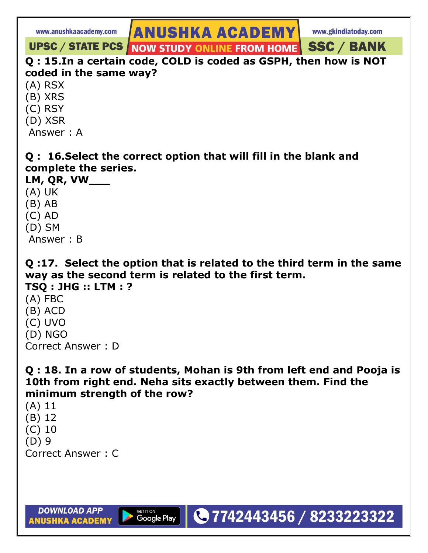**UPSC / STATE PCS /** 

ANUSHKA ACADEMY

**NOW STUDY ONLINE FROM HOME SSC / BANK Q : 15.In a certain code, COLD is coded as GSPH, then how is NOT coded in the same way?**

(A) RSX (B) XRS (C) RSY

(D) XSR

Answer : A

**Q : 16.Select the correct option that will fill in the blank and complete the series.**

**LM, QR, VW\_\_\_**

(A) UK (B) AB (C) AD

(D) SM

Answer : B

**Q :17. Select the option that is related to the third term in the same way as the second term is related to the first term.**

**TSQ : JHG :: LTM : ?**

(A) FBC (B) ACD (C) UVO (D) NGO

Correct Answer : D

**Q : 18. In a row of students, Mohan is 9th from left end and Pooja is 10th from right end. Neha sits exactly between them. Find the minimum strength of the row?**

**Google Play** 

●7742443456 / 8233223322

(A) 11 (B) 12 (C) 10 (D) 9 Correct Answer : C